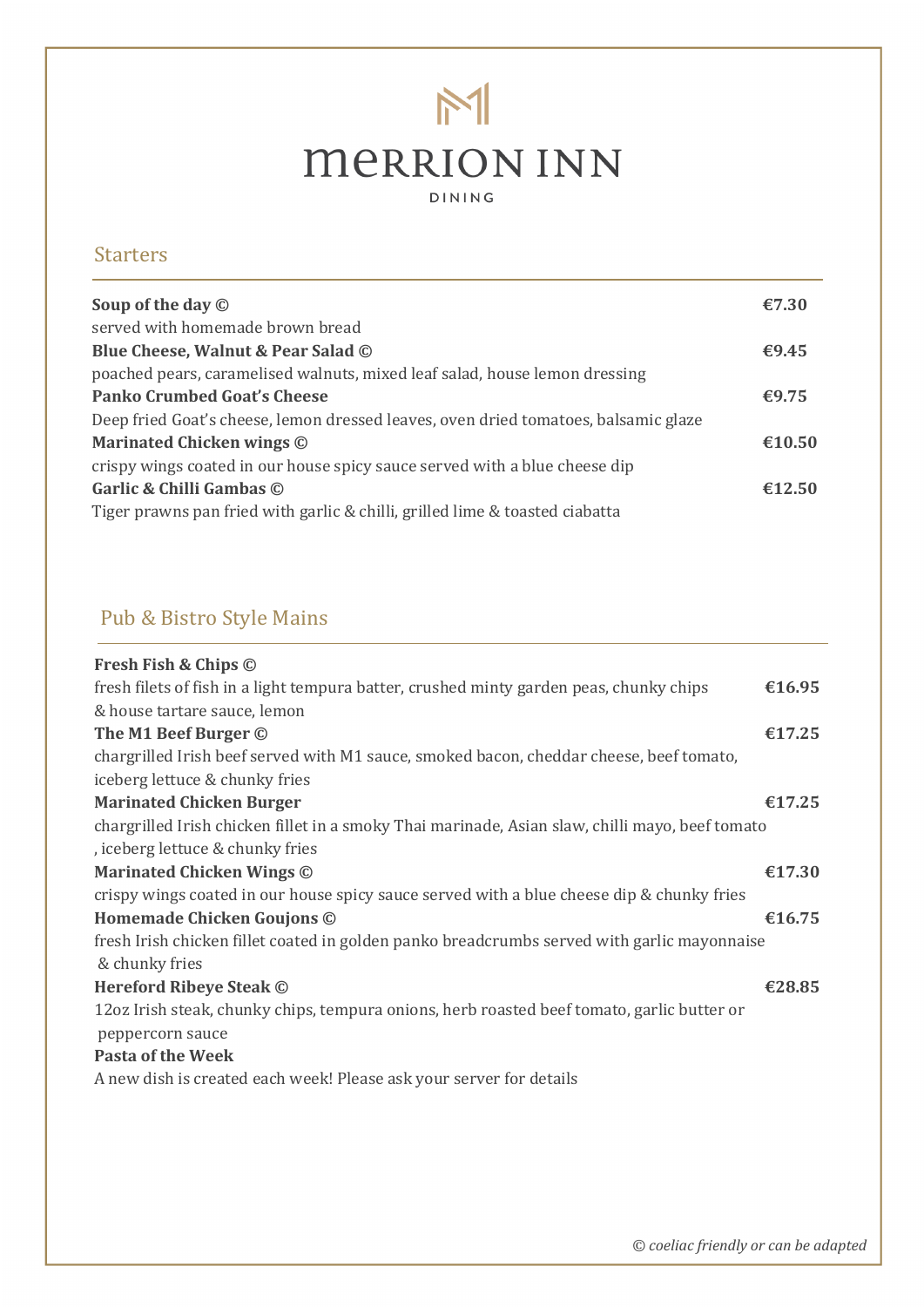# $M$ **MERRION INN** DINING

#### **Starters**

| Soup of the day $\odot$                                                             | €7.30  |
|-------------------------------------------------------------------------------------|--------|
| served with homemade brown bread                                                    |        |
| Blue Cheese, Walnut & Pear Salad ©                                                  | €9.45  |
| poached pears, caramelised walnuts, mixed leaf salad, house lemon dressing          |        |
| <b>Panko Crumbed Goat's Cheese</b>                                                  | €9.75  |
| Deep fried Goat's cheese, lemon dressed leaves, oven dried tomatoes, balsamic glaze |        |
| Marinated Chicken wings ©                                                           | €10.50 |
| crispy wings coated in our house spicy sauce served with a blue cheese dip          |        |
| Garlic & Chilli Gambas ©                                                            | €12.50 |
| Tiger prawns pan fried with garlic & chilli, grilled lime & toasted ciabatta        |        |
|                                                                                     |        |

### Pub & Bistro Style Mains

| Fresh Fish & Chips ©                                                                            |        |
|-------------------------------------------------------------------------------------------------|--------|
| fresh filets of fish in a light tempura batter, crushed minty garden peas, chunky chips         | €16.95 |
| & house tartare sauce, lemon                                                                    |        |
| The M1 Beef Burger ©                                                                            | €17.25 |
| chargrilled Irish beef served with M1 sauce, smoked bacon, cheddar cheese, beef tomato,         |        |
| iceberg lettuce & chunky fries                                                                  |        |
| <b>Marinated Chicken Burger</b>                                                                 | €17.25 |
| chargrilled Irish chicken fillet in a smoky Thai marinade, Asian slaw, chilli mayo, beef tomato |        |
| , iceberg lettuce & chunky fries                                                                |        |
| <b>Marinated Chicken Wings ©</b>                                                                | €17.30 |
| crispy wings coated in our house spicy sauce served with a blue cheese dip & chunky fries       |        |
| Homemade Chicken Goujons ©                                                                      | €16.75 |
| fresh Irish chicken fillet coated in golden panko breadcrumbs served with garlic mayonnaise     |        |
| & chunky fries                                                                                  |        |
| <b>Hereford Ribeye Steak ©</b>                                                                  | €28.85 |
| 12oz Irish steak, chunky chips, tempura onions, herb roasted beef tomato, garlic butter or      |        |
| peppercorn sauce                                                                                |        |
| <b>Pasta of the Week</b>                                                                        |        |
| A new dish is created each week! Please ask your server for details                             |        |
|                                                                                                 |        |